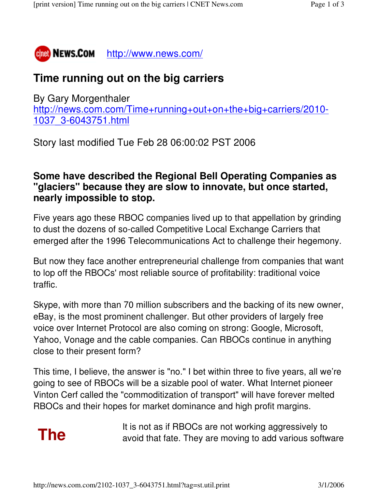

## **Time running out on the big carriers**

By Gary Morgenthaler http://news.com.com/Time+running+out+on+the+big+carriers/2010- 1037\_3-6043751.html

Story last modified Tue Feb 28 06:00:02 PST 2006

## **Some have described the Regional Bell Operating Companies as "glaciers" because they are slow to innovate, but once started, nearly impossible to stop.**

Five years ago these RBOC companies lived up to that appellation by grinding to dust the dozens of so-called Competitive Local Exchange Carriers that emerged after the 1996 Telecommunications Act to challenge their hegemony.

But now they face another entrepreneurial challenge from companies that want to lop off the RBOCs' most reliable source of profitability: traditional voice traffic.

Skype, with more than 70 million subscribers and the backing of its new owner, eBay, is the most prominent challenger. But other providers of largely free voice over Internet Protocol are also coming on strong: Google, Microsoft, Yahoo, Vonage and the cable companies. Can RBOCs continue in anything close to their present form?

This time, I believe, the answer is "no." I bet within three to five years, all we're going to see of RBOCs will be a sizable pool of water. What Internet pioneer Vinton Cerf called the "commoditization of transport" will have forever melted RBOCs and their hopes for market dominance and high profit margins.

It is not as if RBOCs are not working aggressively to **The** avoid that fate. They are moving to add various software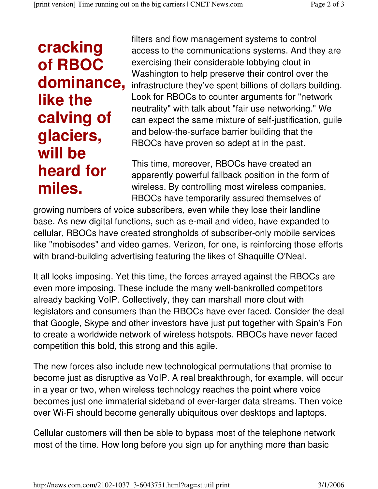## **cracking of RBOC dominance, like the calving of glaciers, will be heard for miles.**

filters and flow management systems to control access to the communications systems. And they are exercising their considerable lobbying clout in Washington to help preserve their control over the infrastructure they've spent billions of dollars building. Look for RBOCs to counter arguments for "network neutrality" with talk about "fair use networking." We can expect the same mixture of self-justification, guile and below-the-surface barrier building that the RBOCs have proven so adept at in the past.

This time, moreover, RBOCs have created an apparently powerful fallback position in the form of wireless. By controlling most wireless companies, RBOCs have temporarily assured themselves of

growing numbers of voice subscribers, even while they lose their landline base. As new digital functions, such as e-mail and video, have expanded to cellular, RBOCs have created strongholds of subscriber-only mobile services like "mobisodes" and video games. Verizon, for one, is reinforcing those efforts with brand-building advertising featuring the likes of Shaquille O'Neal.

It all looks imposing. Yet this time, the forces arrayed against the RBOCs are even more imposing. These include the many well-bankrolled competitors already backing VoIP. Collectively, they can marshall more clout with legislators and consumers than the RBOCs have ever faced. Consider the deal that Google, Skype and other investors have just put together with Spain's Fon to create a worldwide network of wireless hotspots. RBOCs have never faced competition this bold, this strong and this agile.

The new forces also include new technological permutations that promise to become just as disruptive as VoIP. A real breakthrough, for example, will occur in a year or two, when wireless technology reaches the point where voice becomes just one immaterial sideband of ever-larger data streams. Then voice over Wi-Fi should become generally ubiquitous over desktops and laptops.

Cellular customers will then be able to bypass most of the telephone network most of the time. How long before you sign up for anything more than basic